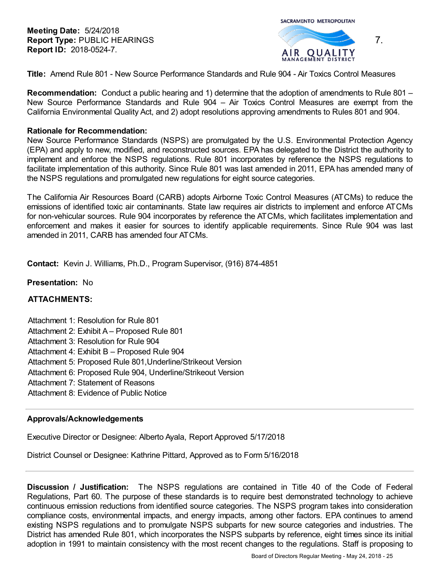**Meeting Date:** 5/24/2018 **Report Type:** PUBLIC HEARINGS **Report ID:** 2018-0524-7.

SACRAMENTO METROPOLITAN



**Title:** Amend Rule 801 - New Source Performance Standards and Rule 904 - Air Toxics Control Measures

**Recommendation:** Conduct a public hearing and 1) determine that the adoption of amendments to Rule 801 – New Source Performance Standards and Rule 904 – Air Toxics Control Measures are exempt from the California Environmental Quality Act, and 2) adopt resolutions approving amendments to Rules 801 and 904.

#### **Rationale for Recommendation:**

New Source Performance Standards (NSPS) are promulgated by the U.S. Environmental Protection Agency (EPA) and apply to new, modified, and reconstructed sources. EPA has delegated to the District the authority to implement and enforce the NSPS regulations. Rule 801 incorporates by reference the NSPS regulations to facilitate implementation of this authority. Since Rule 801 was last amended in 2011, EPA has amended many of the NSPS regulations and promulgated new regulations for eight source categories.

The California Air Resources Board (CARB) adopts Airborne Toxic Control Measures (ATCMs) to reduce the emissions of identified toxic air contaminants. State law requires air districts to implement and enforce ATCMs for non-vehicular sources. Rule 904 incorporates by reference the ATCMs, which facilitates implementation and enforcement and makes it easier for sources to identify applicable requirements. Since Rule 904 was last amended in 2011, CARB has amended four ATCMs.

**Contact:** Kevin J. Williams, Ph.D., Program Supervisor, (916) 874-4851

# **Presentation:** No

# **ATTACHMENTS:**

- Attachment 1: Resolution for Rule 801
- Attachment 2: Exhibit A Proposed Rule 801
- Attachment 3: Resolution for Rule 904
- Attachment 4: Exhibit B Proposed Rule 904
- Attachment 5: Proposed Rule 801,Underline/Strikeout Version
- Attachment 6: Proposed Rule 904, Underline/Strikeout Version
- Attachment 7: Statement of Reasons
- Attachment 8: Evidence of Public Notice

# **Approvals/Acknowledgements**

Executive Director or Designee: Alberto Ayala, Report Approved 5/17/2018

District Counsel or Designee: Kathrine Pittard, Approved as to Form 5/16/2018

**Discussion / Justification:** The NSPS regulations are contained in Title 40 of the Code of Federal Regulations, Part 60. The purpose of these standards is to require best demonstrated technology to achieve continuous emission reductions from identified source categories. The NSPS program takes into consideration compliance costs, environmental impacts, and energy impacts, among other factors. EPA continues to amend existing NSPS regulations and to promulgate NSPS subparts for new source categories and industries. The District has amended Rule 801, which incorporates the NSPS subparts by reference, eight times since its initial adoption in 1991 to maintain consistency with the most recent changes to the regulations. Staff is proposing to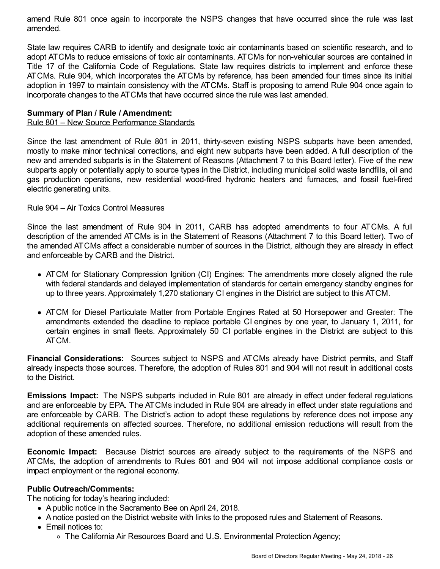amend Rule 801 once again to incorporate the NSPS changes that have occurred since the rule was last amended.

State law requires CARB to identify and designate toxic air contaminants based on scientific research, and to adopt ATCMs to reduce emissions of toxic air contaminants. ATCMs for non-vehicular sources are contained in Title 17 of the California Code of Regulations. State law requires districts to implement and enforce these ATCMs. Rule 904, which incorporates the ATCMs by reference, has been amended four times since its initial adoption in 1997 to maintain consistency with the ATCMs. Staff is proposing to amend Rule 904 once again to incorporate changes to the ATCMs that have occurred since the rule was last amended.

## **Summary of Plan / Rule / Amendment:**

## Rule 801 – New Source Performance Standards

Since the last amendment of Rule 801 in 2011, thirty-seven existing NSPS subparts have been amended, mostly to make minor technical corrections, and eight new subparts have been added. A full description of the new and amended subparts is in the Statement of Reasons (Attachment 7 to this Board letter). Five of the new subparts apply or potentially apply to source types in the District, including municipal solid waste landfills, oil and gas production operations, new residential wood-fired hydronic heaters and furnaces, and fossil fuel-fired electric generating units.

### Rule 904 – Air Toxics Control Measures

Since the last amendment of Rule 904 in 2011, CARB has adopted amendments to four ATCMs. A full description of the amended ATCMs is in the Statement of Reasons (Attachment 7 to this Board letter). Two of the amended ATCMs affect a considerable number of sources in the District, although they are already in effect and enforceable by CARB and the District.

- ATCM for Stationary Compression Ignition (CI) Engines: The amendments more closely aligned the rule with federal standards and delayed implementation of standards for certain emergency standby engines for up to three years. Approximately 1,270 stationary CI engines in the District are subject to this ATCM.
- ATCM for Diesel Particulate Matter from Portable Engines Rated at 50 Horsepower and Greater: The amendments extended the deadline to replace portable CI engines by one year, to January 1, 2011, for certain engines in small fleets. Approximately 50 CI portable engines in the District are subject to this ATCM.

**Financial Considerations:** Sources subject to NSPS and ATCMs already have District permits, and Staff already inspects those sources. Therefore, the adoption of Rules 801 and 904 will not result in additional costs to the District.

**Emissions Impact:** The NSPS subparts included in Rule 801 are already in effect under federal regulations and are enforceable by EPA. The ATCMs included in Rule 904 are already in effect under state regulations and are enforceable by CARB. The District's action to adopt these regulations by reference does not impose any additional requirements on affected sources. Therefore, no additional emission reductions will result from the adoption of these amended rules.

**Economic Impact:** Because District sources are already subject to the requirements of the NSPS and ATCMs, the adoption of amendments to Rules 801 and 904 will not impose additional compliance costs or impact employment or the regional economy.

#### **Public Outreach/Comments:**

The noticing for today's hearing included:

- A public notice in the Sacramento Bee on April 24, 2018.
- A notice posted on the District website with links to the proposed rules and Statement of Reasons.
- Email notices to:
	- The California Air Resources Board and U.S. Environmental Protection Agency;